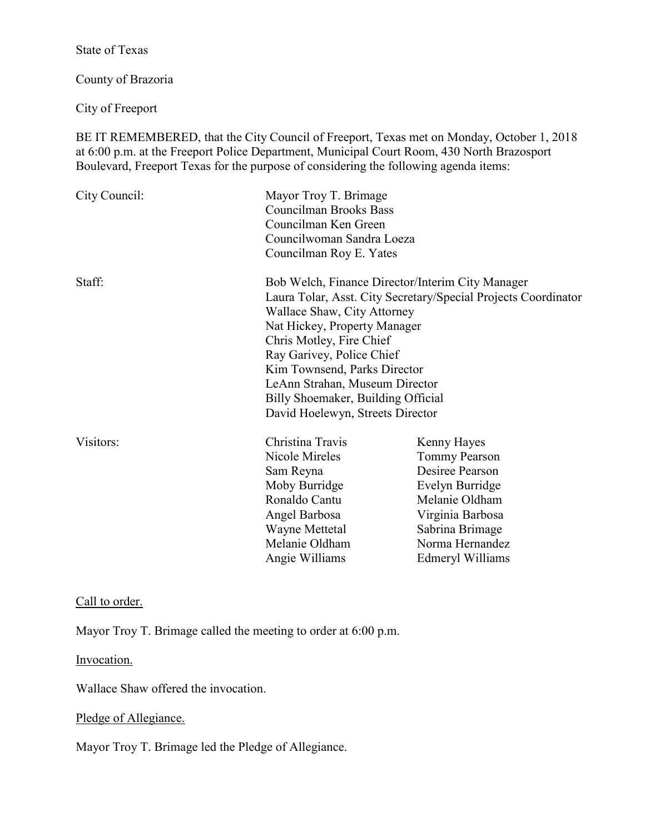State of Texas

County of Brazoria

City of Freeport

BE IT REMEMBERED, that the City Council of Freeport, Texas met on Monday, October 1, 2018 at 6:00 p.m. at the Freeport Police Department, Municipal Court Room, 430 North Brazosport Boulevard, Freeport Texas for the purpose of considering the following agenda items:

| City Council:  | Mayor Troy T. Brimage<br><b>Councilman Brooks Bass</b><br>Councilman Ken Green<br>Councilwoman Sandra Loeza<br>Councilman Roy E. Yates |                      |
|----------------|----------------------------------------------------------------------------------------------------------------------------------------|----------------------|
| Staff:         | Bob Welch, Finance Director/Interim City Manager<br>Laura Tolar, Asst. City Secretary/Special Projects Coordinator                     |                      |
|                | Wallace Shaw, City Attorney<br>Nat Hickey, Property Manager                                                                            |                      |
|                | Chris Motley, Fire Chief                                                                                                               |                      |
|                | Ray Garivey, Police Chief                                                                                                              |                      |
|                | Kim Townsend, Parks Director                                                                                                           |                      |
|                | LeAnn Strahan, Museum Director<br>Billy Shoemaker, Building Official                                                                   |                      |
|                |                                                                                                                                        |                      |
|                | Visitors:                                                                                                                              | Christina Travis     |
| Nicole Mireles |                                                                                                                                        | <b>Tommy Pearson</b> |
| Sam Reyna      |                                                                                                                                        | Desiree Pearson      |
| Moby Burridge  |                                                                                                                                        | Evelyn Burridge      |
| Ronaldo Cantu  |                                                                                                                                        | Melanie Oldham       |
| Angel Barbosa  |                                                                                                                                        | Virginia Barbosa     |
| Wayne Mettetal |                                                                                                                                        | Sabrina Brimage      |
| Melanie Oldham |                                                                                                                                        | Norma Hernandez      |
| Angie Williams |                                                                                                                                        | Edmeryl Williams     |

Call to order.

Mayor Troy T. Brimage called the meeting to order at 6:00 p.m.

Invocation.

Wallace Shaw offered the invocation.

# Pledge of Allegiance.

Mayor Troy T. Brimage led the Pledge of Allegiance.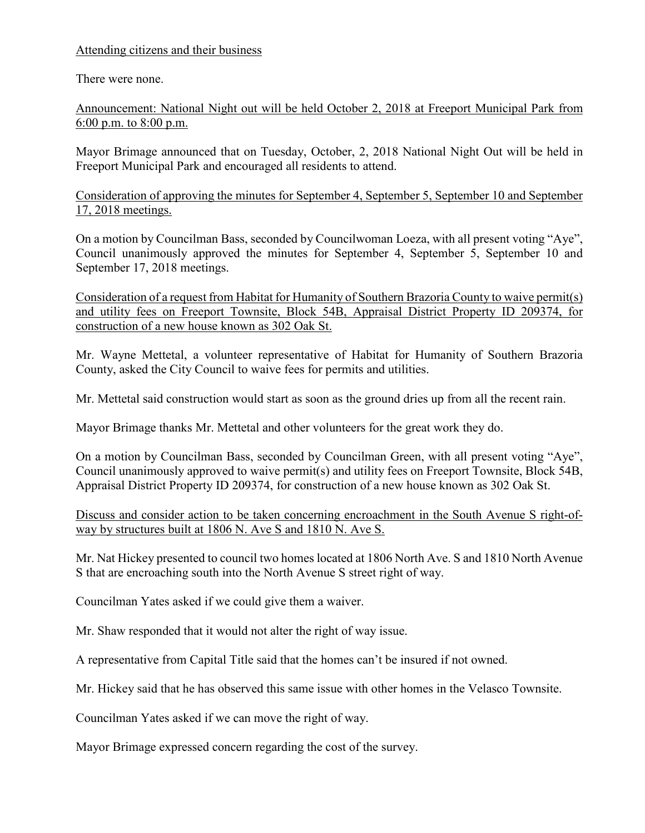# Attending citizens and their business

There were none.

Announcement: National Night out will be held October 2, 2018 at Freeport Municipal Park from 6:00 p.m. to 8:00 p.m.

Mayor Brimage announced that on Tuesday, October, 2, 2018 National Night Out will be held in Freeport Municipal Park and encouraged all residents to attend.

Consideration of approving the minutes for September 4, September 5, September 10 and September 17, 2018 meetings.

On a motion by Councilman Bass, seconded by Councilwoman Loeza, with all present voting "Aye", Council unanimously approved the minutes for September 4, September 5, September 10 and September 17, 2018 meetings.

Consideration of a request from Habitat for Humanity of Southern Brazoria County to waive permit(s) and utility fees on Freeport Townsite, Block 54B, Appraisal District Property ID 209374, for construction of a new house known as 302 Oak St.

Mr. Wayne Mettetal, a volunteer representative of Habitat for Humanity of Southern Brazoria County, asked the City Council to waive fees for permits and utilities.

Mr. Mettetal said construction would start as soon as the ground dries up from all the recent rain.

Mayor Brimage thanks Mr. Mettetal and other volunteers for the great work they do.

On a motion by Councilman Bass, seconded by Councilman Green, with all present voting "Aye", Council unanimously approved to waive permit(s) and utility fees on Freeport Townsite, Block 54B, Appraisal District Property ID 209374, for construction of a new house known as 302 Oak St.

## Discuss and consider action to be taken concerning encroachment in the South Avenue S right-ofway by structures built at 1806 N. Ave S and 1810 N. Ave S.

Mr. Nat Hickey presented to council two homes located at 1806 North Ave. S and 1810 North Avenue S that are encroaching south into the North Avenue S street right of way.

Councilman Yates asked if we could give them a waiver.

Mr. Shaw responded that it would not alter the right of way issue.

A representative from Capital Title said that the homes can't be insured if not owned.

Mr. Hickey said that he has observed this same issue with other homes in the Velasco Townsite.

Councilman Yates asked if we can move the right of way.

Mayor Brimage expressed concern regarding the cost of the survey.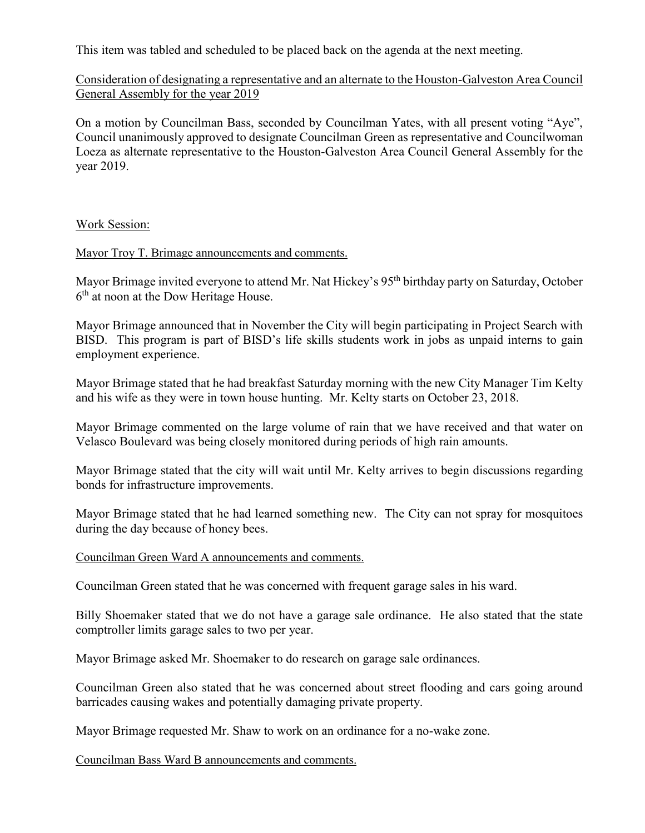This item was tabled and scheduled to be placed back on the agenda at the next meeting.

Consideration of designating a representative and an alternate to the Houston-Galveston Area Council General Assembly for the year 2019

On a motion by Councilman Bass, seconded by Councilman Yates, with all present voting "Aye", Council unanimously approved to designate Councilman Green as representative and Councilwoman Loeza as alternate representative to the Houston-Galveston Area Council General Assembly for the year 2019.

## Work Session:

Mayor Troy T. Brimage announcements and comments.

Mayor Brimage invited everyone to attend Mr. Nat Hickey's 95<sup>th</sup> birthday party on Saturday, October 6<sup>th</sup> at noon at the Dow Heritage House.

Mayor Brimage announced that in November the City will begin participating in Project Search with BISD. This program is part of BISD's life skills students work in jobs as unpaid interns to gain employment experience.

Mayor Brimage stated that he had breakfast Saturday morning with the new City Manager Tim Kelty and his wife as they were in town house hunting. Mr. Kelty starts on October 23, 2018.

Mayor Brimage commented on the large volume of rain that we have received and that water on Velasco Boulevard was being closely monitored during periods of high rain amounts.

Mayor Brimage stated that the city will wait until Mr. Kelty arrives to begin discussions regarding bonds for infrastructure improvements.

Mayor Brimage stated that he had learned something new. The City can not spray for mosquitoes during the day because of honey bees.

Councilman Green Ward A announcements and comments.

Councilman Green stated that he was concerned with frequent garage sales in his ward.

Billy Shoemaker stated that we do not have a garage sale ordinance. He also stated that the state comptroller limits garage sales to two per year.

Mayor Brimage asked Mr. Shoemaker to do research on garage sale ordinances.

Councilman Green also stated that he was concerned about street flooding and cars going around barricades causing wakes and potentially damaging private property.

Mayor Brimage requested Mr. Shaw to work on an ordinance for a no-wake zone.

Councilman Bass Ward B announcements and comments.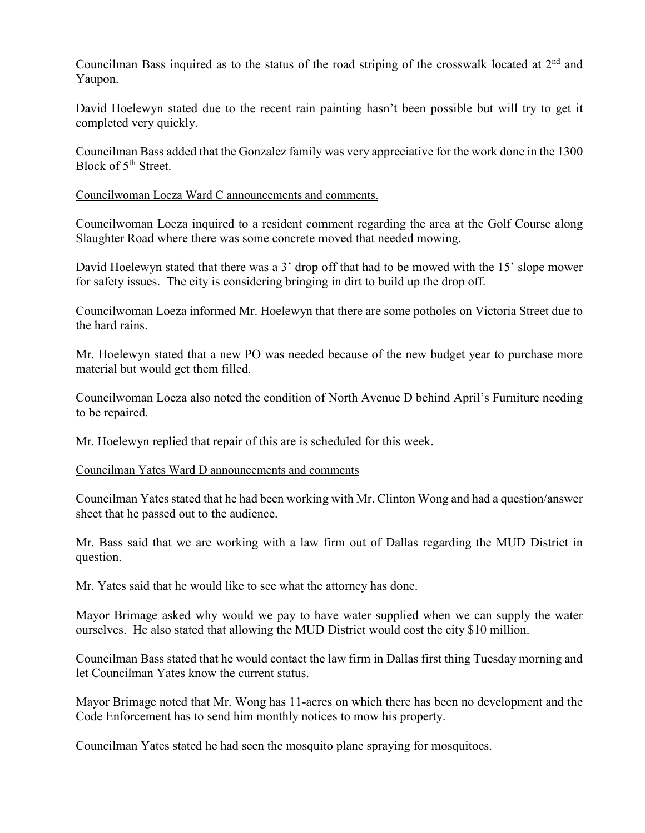Councilman Bass inquired as to the status of the road striping of the crosswalk located at 2<sup>nd</sup> and Yaupon.

David Hoelewyn stated due to the recent rain painting hasn't been possible but will try to get it completed very quickly.

Councilman Bass added that the Gonzalez family was very appreciative for the work done in the 1300 Block of 5<sup>th</sup> Street.

### Councilwoman Loeza Ward C announcements and comments.

Councilwoman Loeza inquired to a resident comment regarding the area at the Golf Course along Slaughter Road where there was some concrete moved that needed mowing.

David Hoelewyn stated that there was a 3' drop off that had to be mowed with the 15' slope mower for safety issues. The city is considering bringing in dirt to build up the drop off.

Councilwoman Loeza informed Mr. Hoelewyn that there are some potholes on Victoria Street due to the hard rains.

Mr. Hoelewyn stated that a new PO was needed because of the new budget year to purchase more material but would get them filled.

Councilwoman Loeza also noted the condition of North Avenue D behind April's Furniture needing to be repaired.

Mr. Hoelewyn replied that repair of this are is scheduled for this week.

#### Councilman Yates Ward D announcements and comments

Councilman Yates stated that he had been working with Mr. Clinton Wong and had a question/answer sheet that he passed out to the audience.

Mr. Bass said that we are working with a law firm out of Dallas regarding the MUD District in question.

Mr. Yates said that he would like to see what the attorney has done.

Mayor Brimage asked why would we pay to have water supplied when we can supply the water ourselves. He also stated that allowing the MUD District would cost the city \$10 million.

Councilman Bass stated that he would contact the law firm in Dallas first thing Tuesday morning and let Councilman Yates know the current status.

Mayor Brimage noted that Mr. Wong has 11-acres on which there has been no development and the Code Enforcement has to send him monthly notices to mow his property.

Councilman Yates stated he had seen the mosquito plane spraying for mosquitoes.